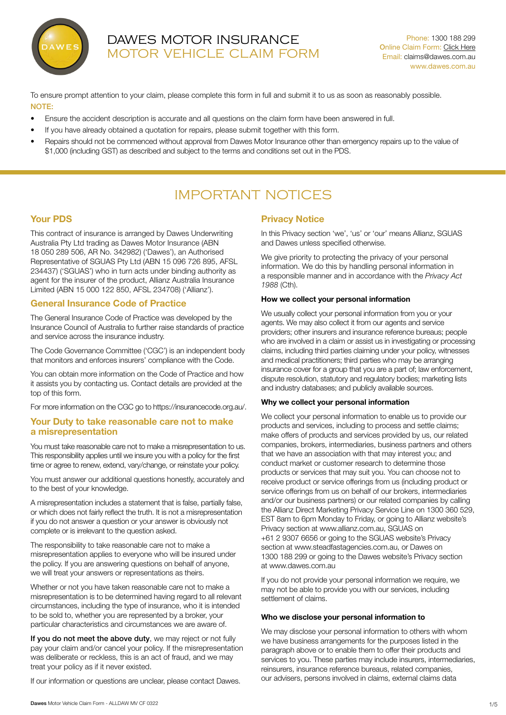

## DAWES MOTOR INSURANCE MOTOR VEHICLE CLAIM FORM

To ensure prompt attention to your claim, please complete this form in full and submit it to us as soon as reasonably possible. NOTE:

- Ensure the accident description is accurate and all questions on the claim form have been answered in full.
- If you have already obtained a quotation for repairs, please submit together with this form.
- Repairs should not be commenced without approval from Dawes Motor Insurance other than emergency repairs up to the value of \$1,000 (including GST) as described and subject to the terms and conditions set out in the PDS.

# IMPORTANT NOTICES

## Your PDS

This contract of insurance is arranged by Dawes Underwriting Australia Pty Ltd trading as Dawes Motor Insurance (ABN 18 050 289 506, AR No. 342982) ('Dawes'), an Authorised Representative of SGUAS Pty Ltd (ABN 15 096 726 895, AFSL 234437) ('SGUAS') who in turn acts under binding authority as agent for the insurer of the product, Allianz Australia Insurance Limited (ABN 15 000 122 850, AFSL 234708) ('Allianz').

## General Insurance Code of Practice

The General Insurance Code of Practice was developed by the Insurance Council of Australia to further raise standards of practice and service across the insurance industry.

The Code Governance Committee ('CGC') is an independent body that monitors and enforces insurers' compliance with the Code.

You can obtain more information on the Code of Practice and how it assists you by contacting us. Contact details are provided at the top of this form.

For more information on the CGC go to https://insurancecode.org.au/.

## Your Duty to take reasonable care not to make a misrepresentation

You must take reasonable care not to make a misrepresentation to us. This responsibility applies until we insure you with a policy for the first time or agree to renew, extend, vary/change, or reinstate your policy.

You must answer our additional questions honestly, accurately and to the best of your knowledge.

A misrepresentation includes a statement that is false, partially false, or which does not fairly reflect the truth. It is not a misrepresentation if you do not answer a question or your answer is obviously not complete or is irrelevant to the question asked.

The responsibility to take reasonable care not to make a misrepresentation applies to everyone who will be insured under the policy. If you are answering questions on behalf of anyone, we will treat your answers or representations as theirs.

Whether or not you have taken reasonable care not to make a misrepresentation is to be determined having regard to all relevant circumstances, including the type of insurance, who it is intended to be sold to, whether you are represented by a broker, your particular characteristics and circumstances we are aware of.

If you do not meet the above duty, we may reject or not fully pay your claim and/or cancel your policy. If the misrepresentation was deliberate or reckless, this is an act of fraud, and we may treat your policy as if it never existed.

If our information or questions are unclear, please contact Dawes.

## Privacy Notice

In this Privacy section 'we', 'us' or 'our' means Allianz, SGUAS and Dawes unless specified otherwise.

We give priority to protecting the privacy of your personal information. We do this by handling personal information in a responsible manner and in accordance with the *Privacy Act 1988* (Cth).

#### How we collect your personal information

We usually collect your personal information from you or your agents. We may also collect it from our agents and service providers; other insurers and insurance reference bureaus; people who are involved in a claim or assist us in investigating or processing claims, including third parties claiming under your policy, witnesses and medical practitioners; third parties who may be arranging insurance cover for a group that you are a part of; law enforcement, dispute resolution, statutory and regulatory bodies; marketing lists and industry databases; and publicly available sources.

#### Why we collect your personal information

We collect your personal information to enable us to provide our products and services, including to process and settle claims; make offers of products and services provided by us, our related companies, brokers, intermediaries, business partners and others that we have an association with that may interest you; and conduct market or customer research to determine those products or services that may suit you. You can choose not to receive product or service offerings from us (including product or service offerings from us on behalf of our brokers, intermediaries and/or our business partners) or our related companies by calling the Allianz Direct Marketing Privacy Service Line on 1300 360 529, EST 8am to 6pm Monday to Friday, or going to Allianz website's Privacy section at www.allianz.com.au, SGUAS on +61 2 9307 6656 or going to the SGUAS website's Privacy section at www.steadfastagencies.com.au, or Dawes on 1300 188 299 or going to the Dawes website's Privacy section at www.dawes.com.au

If you do not provide your personal information we require, we may not be able to provide you with our services, including settlement of claims.

#### Who we disclose your personal information to

We may disclose your personal information to others with whom we have business arrangements for the purposes listed in the paragraph above or to enable them to offer their products and services to you. These parties may include insurers, intermediaries, reinsurers, insurance reference bureaus, related companies, our advisers, persons involved in claims, external claims data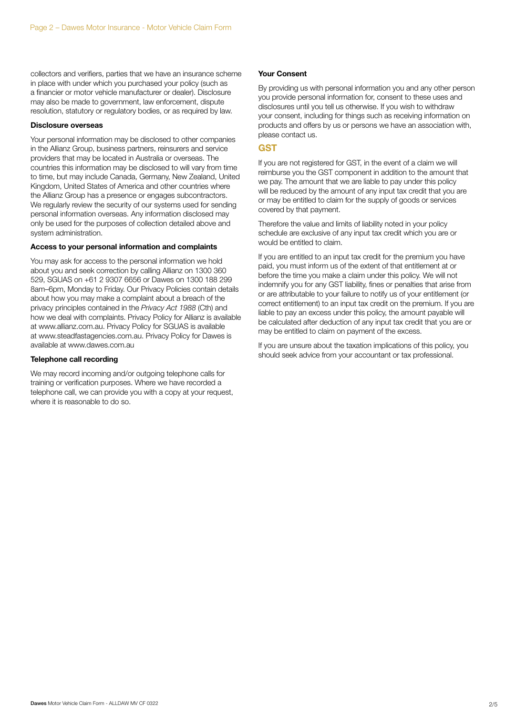collectors and verifiers, parties that we have an insurance scheme in place with under which you purchased your policy (such as a financier or motor vehicle manufacturer or dealer). Disclosure may also be made to government, law enforcement, dispute resolution, statutory or regulatory bodies, or as required by law.

#### Disclosure overseas

Your personal information may be disclosed to other companies in the Allianz Group, business partners, reinsurers and service providers that may be located in Australia or overseas. The countries this information may be disclosed to will vary from time to time, but may include Canada, Germany, New Zealand, United Kingdom, United States of America and other countries where the Allianz Group has a presence or engages subcontractors. We regularly review the security of our systems used for sending personal information overseas. Any information disclosed may only be used for the purposes of collection detailed above and system administration.

#### Access to your personal information and complaints

You may ask for access to the personal information we hold about you and seek correction by calling Allianz on 1300 360 529, SGUAS on +61 2 9307 6656 or Dawes on 1300 188 299 8am–6pm, Monday to Friday. Our Privacy Policies contain details about how you may make a complaint about a breach of the privacy principles contained in the *Privacy Act 1988* (Cth) and how we deal with complaints. Privacy Policy for Allianz is available at www.allianz.com.au. Privacy Policy for SGUAS is available at www.steadfastagencies.com.au. Privacy Policy for Dawes is available at www.dawes.com.au

#### Telephone call recording

We may record incoming and/or outgoing telephone calls for training or verification purposes. Where we have recorded a telephone call, we can provide you with a copy at your request, where it is reasonable to do so.

#### Your Consent

By providing us with personal information you and any other person you provide personal information for, consent to these uses and disclosures until you tell us otherwise. If you wish to withdraw your consent, including for things such as receiving information on products and offers by us or persons we have an association with, please contact us.

## **GST**

If you are not registered for GST, in the event of a claim we will reimburse you the GST component in addition to the amount that we pay. The amount that we are liable to pay under this policy will be reduced by the amount of any input tax credit that you are or may be entitled to claim for the supply of goods or services covered by that payment.

Therefore the value and limits of liability noted in your policy schedule are exclusive of any input tax credit which you are or would be entitled to claim.

If you are entitled to an input tax credit for the premium you have paid, you must inform us of the extent of that entitlement at or before the time you make a claim under this policy. We will not indemnify you for any GST liability, fines or penalties that arise from or are attributable to your failure to notify us of your entitlement (or correct entitlement) to an input tax credit on the premium. If you are liable to pay an excess under this policy, the amount payable will be calculated after deduction of any input tax credit that you are or may be entitled to claim on payment of the excess.

If you are unsure about the taxation implications of this policy, you should seek advice from your accountant or tax professional.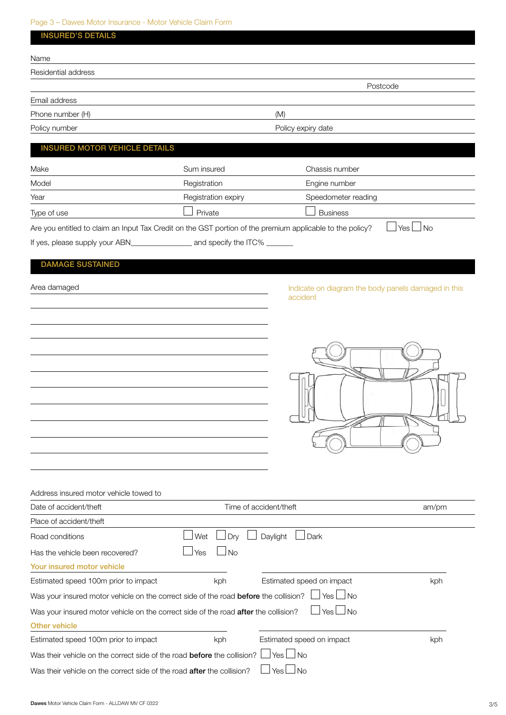## Page 3 – Dawes Motor Insurance - Motor Vehicle Claim Form

| <b>INSURED'S DETAILS</b>                                                                                  |                     |                                                     |               |  |
|-----------------------------------------------------------------------------------------------------------|---------------------|-----------------------------------------------------|---------------|--|
| Name                                                                                                      |                     |                                                     |               |  |
| Residential address                                                                                       |                     |                                                     |               |  |
|                                                                                                           |                     | Postcode                                            |               |  |
| Email address                                                                                             |                     |                                                     |               |  |
| Phone number (H)                                                                                          | (M)                 |                                                     |               |  |
| Policy number                                                                                             | Policy expiry date  |                                                     |               |  |
| <b>INSURED MOTOR VEHICLE DETAILS</b>                                                                      |                     |                                                     |               |  |
|                                                                                                           |                     |                                                     |               |  |
| Make                                                                                                      | Sum insured         | Chassis number                                      |               |  |
| Model                                                                                                     | Registration        | Engine number                                       |               |  |
| Year                                                                                                      | Registration expiry | Speedometer reading                                 |               |  |
| Type of use                                                                                               | Private             | <b>Business</b>                                     |               |  |
| Are you entitled to claim an Input Tax Credit on the GST portion of the premium applicable to the policy? |                     |                                                     | $Yes \Box No$ |  |
|                                                                                                           |                     |                                                     |               |  |
| <b>DAMAGE SUSTAINED</b>                                                                                   |                     |                                                     |               |  |
|                                                                                                           |                     |                                                     |               |  |
| Area damaged                                                                                              |                     | Indicate on diagram the body panels damaged in this |               |  |
|                                                                                                           |                     | accident                                            |               |  |
|                                                                                                           |                     |                                                     |               |  |
|                                                                                                           |                     |                                                     |               |  |
|                                                                                                           |                     |                                                     |               |  |
|                                                                                                           |                     |                                                     |               |  |
|                                                                                                           |                     |                                                     |               |  |
|                                                                                                           |                     |                                                     |               |  |
|                                                                                                           |                     |                                                     |               |  |
|                                                                                                           |                     |                                                     |               |  |
|                                                                                                           |                     |                                                     |               |  |
|                                                                                                           |                     |                                                     |               |  |
|                                                                                                           |                     |                                                     |               |  |
|                                                                                                           |                     |                                                     |               |  |
| Address insured motor vehicle towed to                                                                    |                     |                                                     |               |  |
| Date of accident/theft                                                                                    |                     | Time of accident/theft                              | am/pm         |  |
| Place of accident/theft                                                                                   |                     |                                                     |               |  |
| Road conditions                                                                                           | Wet<br>Dry          | Daylight<br>Dark                                    |               |  |
| Has the vehicle been recovered?                                                                           | <b>No</b><br>Yes    |                                                     |               |  |
| Your insured motor vehicle                                                                                |                     |                                                     |               |  |
| Estimated speed 100m prior to impact                                                                      | kph                 | Estimated speed on impact                           | kph           |  |
| Was your insured motor vehicle on the correct side of the road before the collision?                      |                     | <b>No</b><br>Yes                                    |               |  |
| Was your insured motor vehicle on the correct side of the road after the collision?                       |                     | ∣Yes∟No                                             |               |  |
| <b>Other vehicle</b>                                                                                      |                     |                                                     |               |  |
| Estimated speed 100m prior to impact                                                                      | kph                 | Estimated speed on impact                           | kph           |  |
| Was their vehicle on the correct side of the road before the collision?                                   |                     | Yes $\Box$ No                                       |               |  |
| Was their vehicle on the correct side of the road after the collision?                                    |                     | ⊿No<br>Yes $\Box$                                   |               |  |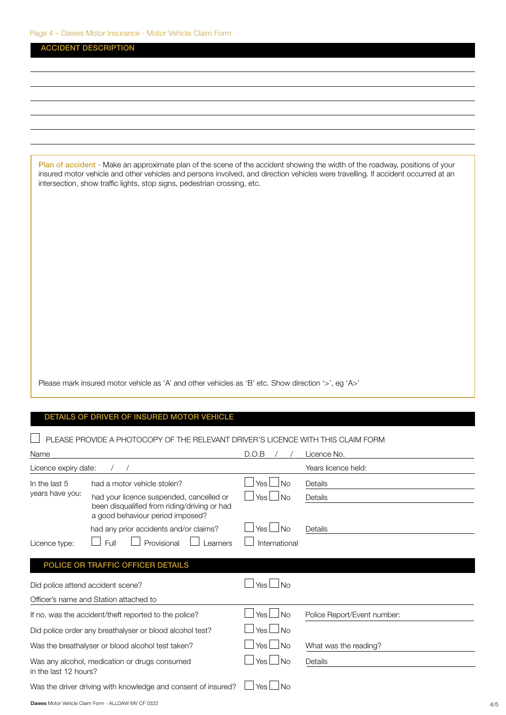|                      | Page 4 – Dawes Motor Insurance - Motor Vehicle Claim Form                                                                      |               |                                                                                                                                                                                                                                                                   |
|----------------------|--------------------------------------------------------------------------------------------------------------------------------|---------------|-------------------------------------------------------------------------------------------------------------------------------------------------------------------------------------------------------------------------------------------------------------------|
|                      | <b>ACCIDENT DESCRIPTION</b>                                                                                                    |               |                                                                                                                                                                                                                                                                   |
|                      |                                                                                                                                |               |                                                                                                                                                                                                                                                                   |
|                      |                                                                                                                                |               |                                                                                                                                                                                                                                                                   |
|                      |                                                                                                                                |               |                                                                                                                                                                                                                                                                   |
|                      |                                                                                                                                |               |                                                                                                                                                                                                                                                                   |
|                      |                                                                                                                                |               |                                                                                                                                                                                                                                                                   |
|                      |                                                                                                                                |               |                                                                                                                                                                                                                                                                   |
|                      |                                                                                                                                |               |                                                                                                                                                                                                                                                                   |
|                      | intersection, show traffic lights, stop signs, pedestrian crossing, etc.                                                       |               | Plan of accident - Make an approximate plan of the scene of the accident showing the width of the roadway, positions of your<br>insured motor vehicle and other vehicles and persons involved, and direction vehicles were travelling. If accident occurred at an |
|                      |                                                                                                                                |               |                                                                                                                                                                                                                                                                   |
|                      |                                                                                                                                |               |                                                                                                                                                                                                                                                                   |
|                      | Please mark insured motor vehicle as 'A' and other vehicles as 'B' etc. Show direction '>', eg 'A>'                            |               |                                                                                                                                                                                                                                                                   |
|                      | DETAILS OF DRIVER OF INSURED MOTOR VEHICLE<br>PLEASE PROVIDE A PHOTOCOPY OF THE RELEVANT DRIVER'S LICENCE WITH THIS CLAIM FORM |               |                                                                                                                                                                                                                                                                   |
| Name                 |                                                                                                                                | D.O.B         | Licence No.                                                                                                                                                                                                                                                       |
| Licence expiry date: | $\sqrt{2}$<br>$\prime$                                                                                                         |               | Years licence held:                                                                                                                                                                                                                                               |
| In the last 5        | had a motor vehicle stolen?                                                                                                    | ⊿Yes∟No       | Details                                                                                                                                                                                                                                                           |
| years have you:      | had your licence suspended, cancelled or<br>been disqualified from riding/driving or had<br>a good behaviour period imposed?   | Yes $\Box$ No | Details                                                                                                                                                                                                                                                           |
|                      | had any prior accidents and/or claims?                                                                                         | Yes $\Box$ No | Details                                                                                                                                                                                                                                                           |
| Licence type:        | Full<br>Provisional<br>Learners                                                                                                | International |                                                                                                                                                                                                                                                                   |
|                      | POLICE OR TRAFFIC OFFICER DETAILS                                                                                              |               |                                                                                                                                                                                                                                                                   |
|                      | Did police attend accident scene?                                                                                              | $Yes \Box No$ |                                                                                                                                                                                                                                                                   |
|                      | Officer's name and Station attached to                                                                                         |               |                                                                                                                                                                                                                                                                   |
|                      | If no, was the accident/theft reported to the police?                                                                          | Yes $\Box$ No | Police Report/Event number:                                                                                                                                                                                                                                       |

Did police order any breathalyser or blood alcohol test?  $\Box$  Yes  $\Box$  No

Was the breathalyser or blood alcohol test taken?  $\Box$  Yes  $\Box$  No What was the reading?

Was any alcohol, medication or drugs consumed  $\Box$  Yes  $\Box$  No Details in the last 12 hours?

| Was the driver driving with knowledge and consent of insured? $\Box$ Yes $\Box$ No |  |
|------------------------------------------------------------------------------------|--|
|                                                                                    |  |